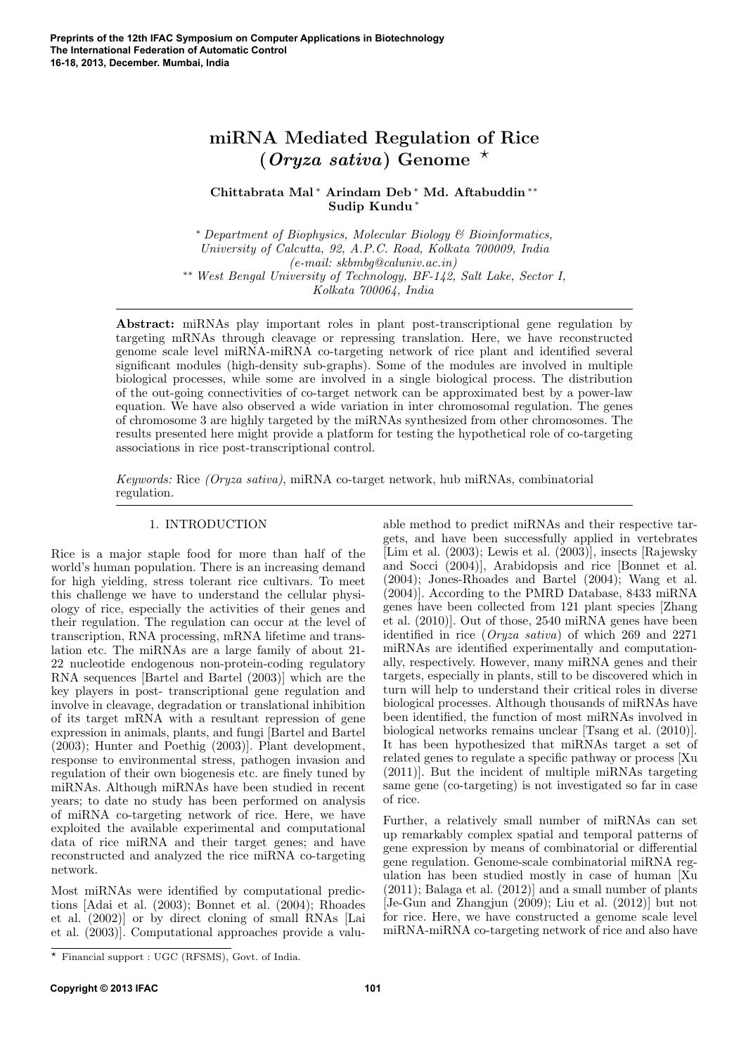# miRNA Mediated Regulation of Rice (*Oryza sativa*) Genome  $*$

Chittabrata Mal <sup>∗</sup> Arindam Deb <sup>∗</sup> Md. Aftabuddin ∗∗ Sudip Kundu <sup>∗</sup>

<sup>∗</sup> Department of Biophysics, Molecular Biology & Bioinformatics, University of Calcutta, 92, A.P.C. Road, Kolkata 700009, India (e-mail: skbmbg@caluniv.ac.in) ∗∗ West Bengal University of Technology, BF-142, Salt Lake, Sector I, Kolkata 700064, India

Abstract: miRNAs play important roles in plant post-transcriptional gene regulation by targeting mRNAs through cleavage or repressing translation. Here, we have reconstructed genome scale level miRNA-miRNA co-targeting network of rice plant and identified several significant modules (high-density sub-graphs). Some of the modules are involved in multiple biological processes, while some are involved in a single biological process. The distribution of the out-going connectivities of co-target network can be approximated best by a power-law equation. We have also observed a wide variation in inter chromosomal regulation. The genes of chromosome 3 are highly targeted by the miRNAs synthesized from other chromosomes. The results presented here might provide a platform for testing the hypothetical role of co-targeting associations in rice post-transcriptional control.

Keywords: Rice (Oryza sativa), miRNA co-target network, hub miRNAs, combinatorial regulation.

# 1. INTRODUCTION

Rice is a major staple food for more than half of the world's human population. There is an increasing demand for high yielding, stress tolerant rice cultivars. To meet this challenge we have to understand the cellular physiology of rice, especially the activities of their genes and their regulation. The regulation can occur at the level of transcription, RNA processing, mRNA lifetime and translation etc. The miRNAs are a large family of about 21- 22 nucleotide endogenous non-protein-coding regulatory RNA sequences [Bartel and Bartel (2003)] which are the key players in post- transcriptional gene regulation and involve in cleavage, degradation or translational inhibition of its target mRNA with a resultant repression of gene expression in animals, plants, and fungi [Bartel and Bartel (2003); Hunter and Poethig (2003)]. Plant development, response to environmental stress, pathogen invasion and regulation of their own biogenesis etc. are finely tuned by miRNAs. Although miRNAs have been studied in recent years; to date no study has been performed on analysis of miRNA co-targeting network of rice. Here, we have exploited the available experimental and computational data of rice miRNA and their target genes; and have reconstructed and analyzed the rice miRNA co-targeting network.

Most miRNAs were identified by computational predictions [Adai et al. (2003); Bonnet et al. (2004); Rhoades et al. (2002)] or by direct cloning of small RNAs [Lai et al. (2003)]. Computational approaches provide a valuable method to predict miRNAs and their respective targets, and have been successfully applied in vertebrates [Lim et al. (2003); Lewis et al. (2003)], insects [Rajewsky and Socci (2004)], Arabidopsis and rice [Bonnet et al. (2004); Jones-Rhoades and Bartel (2004); Wang et al. (2004)]. According to the PMRD Database, 8433 miRNA genes have been collected from 121 plant species [Zhang et al. (2010)]. Out of those, 2540 miRNA genes have been identified in rice (Oryza sativa) of which 269 and 2271 miRNAs are identified experimentally and computationally, respectively. However, many miRNA genes and their targets, especially in plants, still to be discovered which in turn will help to understand their critical roles in diverse biological processes. Although thousands of miRNAs have been identified, the function of most miRNAs involved in biological networks remains unclear [Tsang et al. (2010)]. It has been hypothesized that miRNAs target a set of related genes to regulate a specific pathway or process [Xu (2011)]. But the incident of multiple miRNAs targeting same gene (co-targeting) is not investigated so far in case of rice.

Further, a relatively small number of miRNAs can set up remarkably complex spatial and temporal patterns of gene expression by means of combinatorial or differential gene regulation. Genome-scale combinatorial miRNA regulation has been studied mostly in case of human [Xu (2011); Balaga et al. (2012)] and a small number of plants [Je-Gun and Zhangjun (2009); Liu et al. (2012)] but not for rice. Here, we have constructed a genome scale level miRNA-miRNA co-targeting network of rice and also have

<sup>?</sup> Financial support : UGC (RFSMS), Govt. of India.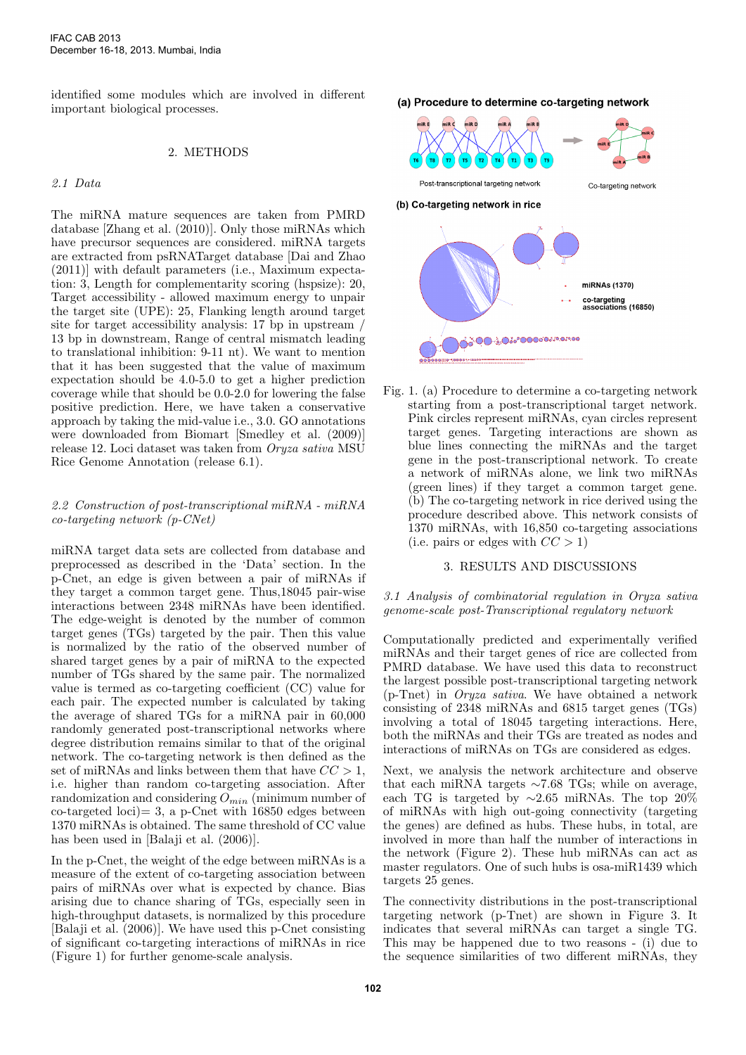identified some modules which are involved in different important biological processes.

### 2. METHODS

# 2.1 Data

The miRNA mature sequences are taken from PMRD database [Zhang et al. (2010)]. Only those miRNAs which have precursor sequences are considered. miRNA targets are extracted from psRNATarget database [Dai and Zhao (2011)] with default parameters (i.e., Maximum expectation: 3, Length for complementarity scoring (hspsize): 20, Target accessibility - allowed maximum energy to unpair the target site (UPE): 25, Flanking length around target site for target accessibility analysis: 17 bp in upstream / 13 bp in downstream, Range of central mismatch leading to translational inhibition: 9-11 nt). We want to mention that it has been suggested that the value of maximum expectation should be 4.0-5.0 to get a higher prediction coverage while that should be 0.0-2.0 for lowering the false positive prediction. Here, we have taken a conservative approach by taking the mid-value i.e., 3.0. GO annotations were downloaded from Biomart [Smedley et al. (2009)] release 12. Loci dataset was taken from Oryza sativa MSU Rice Genome Annotation (release 6.1).

#### 2.2 Construction of post-transcriptional miRNA - miRNA co-targeting network (p-CNet)

miRNA target data sets are collected from database and preprocessed as described in the 'Data' section. In the p-Cnet, an edge is given between a pair of miRNAs if they target a common target gene. Thus,18045 pair-wise interactions between 2348 miRNAs have been identified. The edge-weight is denoted by the number of common target genes (TGs) targeted by the pair. Then this value is normalized by the ratio of the observed number of shared target genes by a pair of miRNA to the expected number of TGs shared by the same pair. The normalized value is termed as co-targeting coefficient (CC) value for each pair. The expected number is calculated by taking the average of shared TGs for a miRNA pair in 60,000 randomly generated post-transcriptional networks where degree distribution remains similar to that of the original network. The co-targeting network is then defined as the set of miRNAs and links between them that have  $CC > 1$ , i.e. higher than random co-targeting association. After randomization and considering  $O_{min}$  (minimum number of  $\text{co-targeted } \text{loci} = 3$ , a p-Cnet with 16850 edges between 1370 miRNAs is obtained. The same threshold of CC value has been used in [Balaji et al. (2006)].

In the p-Cnet, the weight of the edge between miRNAs is a measure of the extent of co-targeting association between pairs of miRNAs over what is expected by chance. Bias arising due to chance sharing of TGs, especially seen in high-throughput datasets, is normalized by this procedure [Balaji et al. (2006)]. We have used this p-Cnet consisting of significant co-targeting interactions of miRNAs in rice (Figure 1) for further genome-scale analysis.

(a) Procedure to determine co-targeting network



Fig. 1. (a) Procedure to determine a co-targeting network starting from a post-transcriptional target network. Pink circles represent miRNAs, cyan circles represent target genes. Targeting interactions are shown as blue lines connecting the miRNAs and the target gene in the post-transcriptional network. To create a network of miRNAs alone, we link two miRNAs (green lines) if they target a common target gene. (b) The co-targeting network in rice derived using the procedure described above. This network consists of 1370 miRNAs, with 16,850 co-targeting associations (i.e. pairs or edges with  $CC > 1$ )

#### 3. RESULTS AND DISCUSSIONS

#### 3.1 Analysis of combinatorial regulation in Oryza sativa genome-scale post-Transcriptional regulatory network

Computationally predicted and experimentally verified miRNAs and their target genes of rice are collected from PMRD database. We have used this data to reconstruct the largest possible post-transcriptional targeting network (p-Tnet) in Oryza sativa. We have obtained a network consisting of 2348 miRNAs and 6815 target genes (TGs) involving a total of 18045 targeting interactions. Here, both the miRNAs and their TGs are treated as nodes and interactions of miRNAs on TGs are considered as edges.

Next, we analysis the network architecture and observe that each miRNA targets  $\sim 7.68$  TGs; while on average, each TG is targeted by  $\sim$ 2.65 miRNAs. The top 20% of miRNAs with high out-going connectivity (targeting the genes) are defined as hubs. These hubs, in total, are involved in more than half the number of interactions in the network (Figure 2). These hub miRNAs can act as master regulators. One of such hubs is osa-miR1439 which targets 25 genes.

The connectivity distributions in the post-transcriptional targeting network (p-Tnet) are shown in Figure 3. It indicates that several miRNAs can target a single TG. This may be happened due to two reasons - (i) due to the sequence similarities of two different miRNAs, they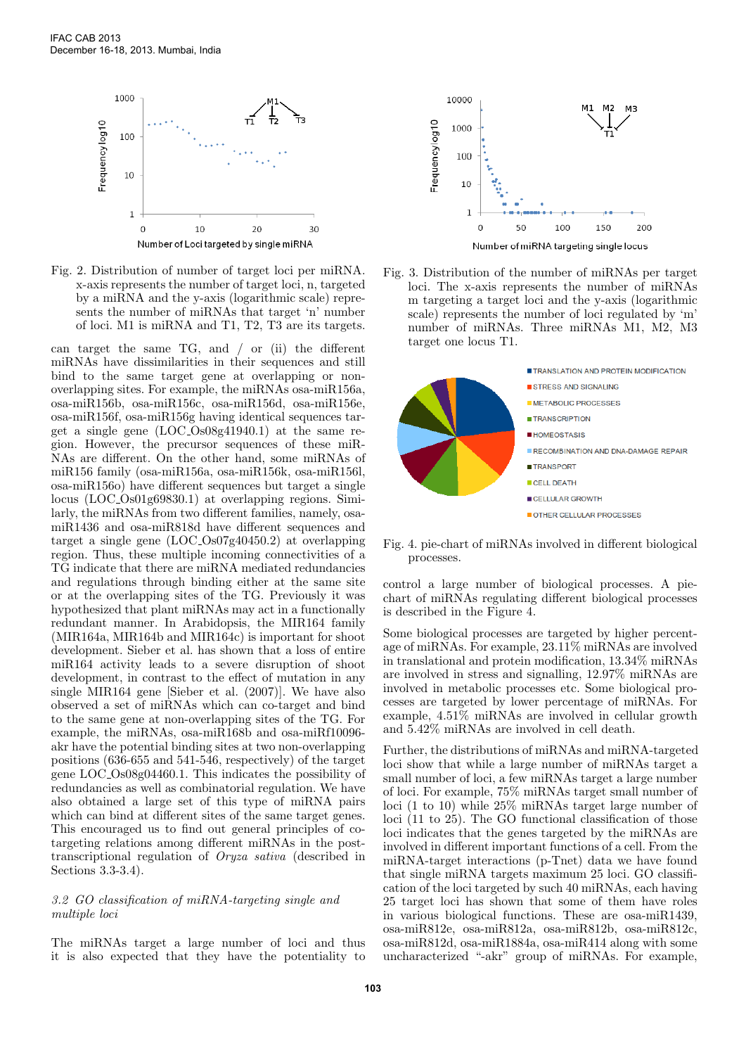

Fig. 2. Distribution of number of target loci per miRNA. x-axis represents the number of target loci, n, targeted by a miRNA and the y-axis (logarithmic scale) represents the number of miRNAs that target 'n' number of loci. M1 is miRNA and T1, T2, T3 are its targets.

can target the same TG, and / or (ii) the different miRNAs have dissimilarities in their sequences and still bind to the same target gene at overlapping or nonoverlapping sites. For example, the miRNAs osa-miR156a, osa-miR156b, osa-miR156c, osa-miR156d, osa-miR156e, osa-miR156f, osa-miR156g having identical sequences target a single gene (LOC Os08g41940.1) at the same region. However, the precursor sequences of these miR-NAs are different. On the other hand, some miRNAs of miR156 family (osa-miR156a, osa-miR156k, osa-miR156l, osa-miR156o) have different sequences but target a single locus (LOC Os01g69830.1) at overlapping regions. Similarly, the miRNAs from two different families, namely, osamiR1436 and osa-miR818d have different sequences and target a single gene (LOC Os07g40450.2) at overlapping region. Thus, these multiple incoming connectivities of a TG indicate that there are miRNA mediated redundancies and regulations through binding either at the same site or at the overlapping sites of the TG. Previously it was hypothesized that plant miRNAs may act in a functionally redundant manner. In Arabidopsis, the MIR164 family (MIR164a, MIR164b and MIR164c) is important for shoot development. Sieber et al. has shown that a loss of entire miR164 activity leads to a severe disruption of shoot development, in contrast to the effect of mutation in any single MIR164 gene [Sieber et al. (2007)]. We have also observed a set of miRNAs which can co-target and bind to the same gene at non-overlapping sites of the TG. For example, the miRNAs, osa-miR168b and osa-miRf10096 akr have the potential binding sites at two non-overlapping positions (636-655 and 541-546, respectively) of the target gene LOC Os08g04460.1. This indicates the possibility of redundancies as well as combinatorial regulation. We have also obtained a large set of this type of miRNA pairs which can bind at different sites of the same target genes. This encouraged us to find out general principles of cotargeting relations among different miRNAs in the posttranscriptional regulation of Oryza sativa (described in Sections 3.3-3.4).

### 3.2 GO classification of miRNA-targeting single and multiple loci

The miRNAs target a large number of loci and thus it is also expected that they have the potentiality to



Fig. 3. Distribution of the number of miRNAs per target loci. The x-axis represents the number of miRNAs m targeting a target loci and the y-axis (logarithmic scale) represents the number of loci regulated by 'm' number of miRNAs. Three miRNAs M1, M2, M3 target one locus T1.



Fig. 4. pie-chart of miRNAs involved in different biological processes.

control a large number of biological processes. A piechart of miRNAs regulating different biological processes is described in the Figure 4.

Some biological processes are targeted by higher percentage of miRNAs. For example, 23.11% miRNAs are involved in translational and protein modification, 13.34% miRNAs are involved in stress and signalling, 12.97% miRNAs are involved in metabolic processes etc. Some biological processes are targeted by lower percentage of miRNAs. For example, 4.51% miRNAs are involved in cellular growth and 5.42% miRNAs are involved in cell death.

Further, the distributions of miRNAs and miRNA-targeted loci show that while a large number of miRNAs target a small number of loci, a few miRNAs target a large number of loci. For example, 75% miRNAs target small number of loci (1 to 10) while 25% miRNAs target large number of loci (11 to 25). The GO functional classification of those loci indicates that the genes targeted by the miRNAs are involved in different important functions of a cell. From the miRNA-target interactions (p-Tnet) data we have found that single miRNA targets maximum 25 loci. GO classification of the loci targeted by such 40 miRNAs, each having 25 target loci has shown that some of them have roles in various biological functions. These are osa-miR1439, osa-miR812e, osa-miR812a, osa-miR812b, osa-miR812c, osa-miR812d, osa-miR1884a, osa-miR414 along with some uncharacterized "-akr" group of miRNAs. For example,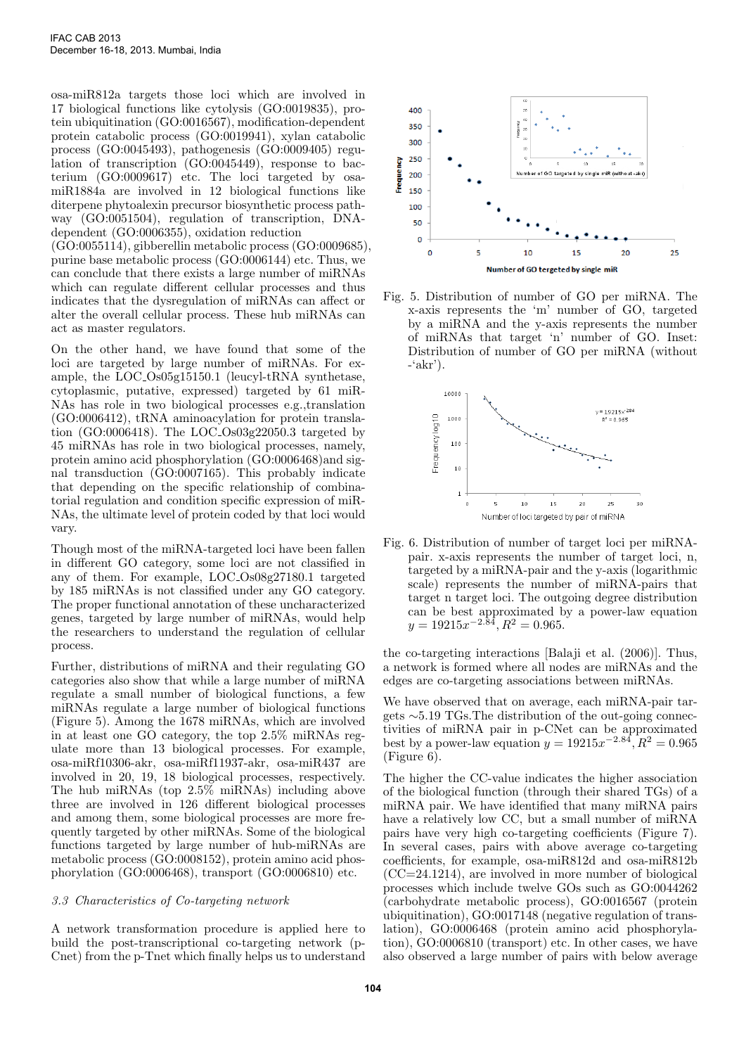osa-miR812a targets those loci which are involved in 17 biological functions like cytolysis (GO:0019835), protein ubiquitination (GO:0016567), modification-dependent protein catabolic process (GO:0019941), xylan catabolic process (GO:0045493), pathogenesis (GO:0009405) regulation of transcription (GO:0045449), response to bacterium (GO:0009617) etc. The loci targeted by osamiR1884a are involved in 12 biological functions like diterpene phytoalexin precursor biosynthetic process pathway (GO:0051504), regulation of transcription, DNAdependent (GO:0006355), oxidation reduction

(GO:0055114), gibberellin metabolic process (GO:0009685), purine base metabolic process (GO:0006144) etc. Thus, we can conclude that there exists a large number of miRNAs which can regulate different cellular processes and thus indicates that the dysregulation of miRNAs can affect or alter the overall cellular process. These hub miRNAs can act as master regulators.

On the other hand, we have found that some of the loci are targeted by large number of miRNAs. For example, the LOC Os05g15150.1 (leucyl-tRNA synthetase, cytoplasmic, putative, expressed) targeted by 61 miR-NAs has role in two biological processes e.g.,translation (GO:0006412), tRNA aminoacylation for protein translation (GO:0006418). The LOC Os03g22050.3 targeted by 45 miRNAs has role in two biological processes, namely, protein amino acid phosphorylation (GO:0006468)and signal transduction (GO:0007165). This probably indicate that depending on the specific relationship of combinatorial regulation and condition specific expression of miR-NAs, the ultimate level of protein coded by that loci would vary.

Though most of the miRNA-targeted loci have been fallen in different GO category, some loci are not classified in any of them. For example, LOC Os08g27180.1 targeted by 185 miRNAs is not classified under any GO category. The proper functional annotation of these uncharacterized genes, targeted by large number of miRNAs, would help the researchers to understand the regulation of cellular process.

Further, distributions of miRNA and their regulating GO categories also show that while a large number of miRNA regulate a small number of biological functions, a few miRNAs regulate a large number of biological functions (Figure 5). Among the 1678 miRNAs, which are involved in at least one GO category, the top 2.5% miRNAs regulate more than 13 biological processes. For example, osa-miRf10306-akr, osa-miRf11937-akr, osa-miR437 are involved in 20, 19, 18 biological processes, respectively. The hub miRNAs (top 2.5% miRNAs) including above three are involved in 126 different biological processes and among them, some biological processes are more frequently targeted by other miRNAs. Some of the biological functions targeted by large number of hub-miRNAs are metabolic process (GO:0008152), protein amino acid phosphorylation (GO:0006468), transport (GO:0006810) etc.

### 3.3 Characteristics of Co-targeting network

A network transformation procedure is applied here to build the post-transcriptional co-targeting network (p-Cnet) from the p-Tnet which finally helps us to understand



Fig. 5. Distribution of number of GO per miRNA. The x-axis represents the 'm' number of GO, targeted by a miRNA and the y-axis represents the number of miRNAs that target 'n' number of GO. Inset: Distribution of number of GO per miRNA (without  $-(akr)$ .



Fig. 6. Distribution of number of target loci per miRNApair. x-axis represents the number of target loci, n, targeted by a miRNA-pair and the y-axis (logarithmic scale) represents the number of miRNA-pairs that target n target loci. The outgoing degree distribution can be best approximated by a power-law equation  $y = 19215x^{-2.84}, R^2 = 0.965.$ 

the co-targeting interactions [Balaji et al. (2006)]. Thus, a network is formed where all nodes are miRNAs and the edges are co-targeting associations between miRNAs.

We have observed that on average, each miRNA-pair targets ∼5.19 TGs.The distribution of the out-going connectivities of miRNA pair in p-CNet can be approximated best by a power-law equation  $y = 19215x^{-2.84}, R^2 = 0.965$ (Figure 6).

The higher the CC-value indicates the higher association of the biological function (through their shared TGs) of a miRNA pair. We have identified that many miRNA pairs have a relatively low CC, but a small number of miRNA pairs have very high co-targeting coefficients (Figure 7). In several cases, pairs with above average co-targeting coefficients, for example, osa-miR812d and osa-miR812b  $(CC=24.1214)$ , are involved in more number of biological processes which include twelve GOs such as GO:0044262 (carbohydrate metabolic process), GO:0016567 (protein ubiquitination), GO:0017148 (negative regulation of translation), GO:0006468 (protein amino acid phosphorylation), GO:0006810 (transport) etc. In other cases, we have also observed a large number of pairs with below average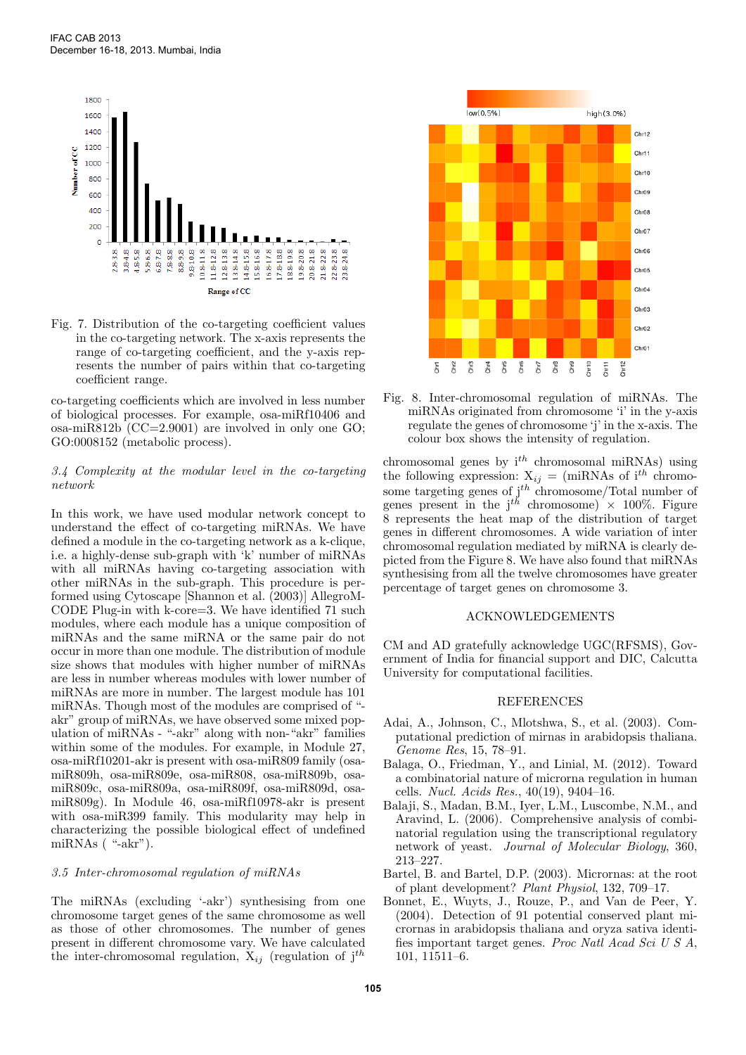

Fig. 7. Distribution of the co-targeting coefficient values in the co-targeting network. The x-axis represents the range of co-targeting coefficient, and the y-axis represents the number of pairs within that co-targeting coefficient range.

co-targeting coefficients which are involved in less number of biological processes. For example, osa-miRf10406 and osa-miR812b (CC=2.9001) are involved in only one GO; GO:0008152 (metabolic process).

## 3.4 Complexity at the modular level in the co-targeting network

In this work, we have used modular network concept to understand the effect of co-targeting miRNAs. We have defined a module in the co-targeting network as a k-clique, i.e. a highly-dense sub-graph with 'k' number of miRNAs with all miRNAs having co-targeting association with other miRNAs in the sub-graph. This procedure is performed using Cytoscape [Shannon et al. (2003)] AllegroM-CODE Plug-in with k-core=3. We have identified 71 such modules, where each module has a unique composition of miRNAs and the same miRNA or the same pair do not occur in more than one module. The distribution of module size shows that modules with higher number of miRNAs are less in number whereas modules with lower number of miRNAs are more in number. The largest module has 101 miRNAs. Though most of the modules are comprised of " akr" group of miRNAs, we have observed some mixed population of miRNAs - "-akr" along with non-"akr" families within some of the modules. For example, in Module 27, osa-miRf10201-akr is present with osa-miR809 family (osamiR809h, osa-miR809e, osa-miR808, osa-miR809b, osamiR809c, osa-miR809a, osa-miR809f, osa-miR809d, osamiR809g). In Module 46, osa-miRf10978-akr is present with osa-miR399 family. This modularity may help in characterizing the possible biological effect of undefined miRNAs ("-akr").

#### 3.5 Inter-chromosomal regulation of miRNAs

The miRNAs (excluding '-akr') synthesising from one chromosome target genes of the same chromosome as well as those of other chromosomes. The number of genes present in different chromosome vary. We have calculated the inter-chromosomal regulation,  $X_{ij}$  (regulation of  $j^{th}$ 



Fig. 8. Inter-chromosomal regulation of miRNAs. The miRNAs originated from chromosome 'i' in the y-axis regulate the genes of chromosome 'j' in the x-axis. The colour box shows the intensity of regulation.

chromosomal genes by  $i^{th}$  chromosomal miRNAs) using the following expression:  $X_{ij} = (m \text{in} \text{N} \text{A} \text{s of } i^{th} \text{ chromo-}$ some targeting genes of  $j<sup>th</sup>$  chromosome/Total number of genes present in the  $j^{th}$  chromosome)  $\times$  100%. Figure 8 represents the heat map of the distribution of target genes in different chromosomes. A wide variation of inter chromosomal regulation mediated by miRNA is clearly depicted from the Figure 8. We have also found that miRNAs synthesising from all the twelve chromosomes have greater percentage of target genes on chromosome 3.

#### ACKNOWLEDGEMENTS

CM and AD gratefully acknowledge UGC(RFSMS), Government of India for financial support and DIC, Calcutta University for computational facilities.

#### REFERENCES

- Adai, A., Johnson, C., Mlotshwa, S., et al. (2003). Computational prediction of mirnas in arabidopsis thaliana. Genome Res, 15, 78–91.
- Balaga, O., Friedman, Y., and Linial, M. (2012). Toward a combinatorial nature of microrna regulation in human cells. Nucl. Acids Res., 40(19), 9404–16.
- Balaji, S., Madan, B.M., Iyer, L.M., Luscombe, N.M., and Aravind, L. (2006). Comprehensive analysis of combinatorial regulation using the transcriptional regulatory network of yeast. Journal of Molecular Biology, 360, 213–227.
- Bartel, B. and Bartel, D.P. (2003). Micrornas: at the root of plant development? Plant Physiol, 132, 709–17.
- Bonnet, E., Wuyts, J., Rouze, P., and Van de Peer, Y. (2004). Detection of 91 potential conserved plant micrornas in arabidopsis thaliana and oryza sativa identifies important target genes. Proc Natl Acad Sci U S A, 101, 11511–6.